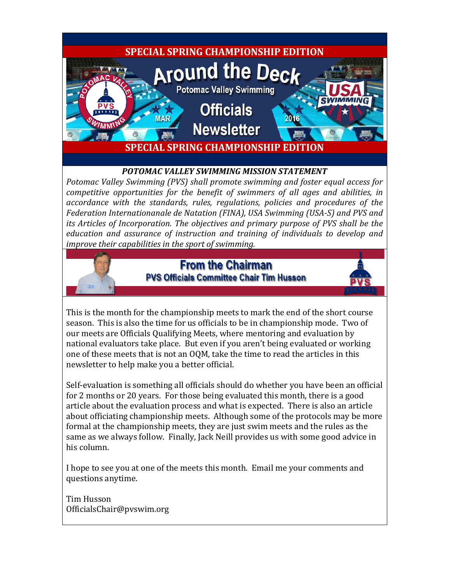

#### *POTOMAC VALLEY SWIMMING MISSION STATEMENT*

*Potomac Valley Swimming (PVS) shall promote swimming and foster equal access for competitive opportunities for the benefit of swimmers of all ages and abilities, in accordance with the standards, rules, regulations, policies and procedures of the Federation Internationanale de Natation (FINA), USA Swimming (USA-S) and PVS and its Articles of Incorporation. The objectives and primary purpose of PVS shall be the education and assurance of instruction and training of individuals to develop and improve their capabilities in the sport of swimming.*

## **From the Chairman PVS Officials Committee Chair Tim Husson**



This is the month for the championship meets to mark the end of the short course season. This is also the time for us officials to be in championship mode. Two of our meets are Officials Qualifying Meets, where mentoring and evaluation by national evaluators take place. But even if you aren't being evaluated or working one of these meets that is not an OQM, take the time to read the articles in this newsletter to help make you a better official.

Self-evaluation is something all officials should do whether you have been an official for 2 months or 20 years. For those being evaluated this month, there is a good article about the evaluation process and what is expected. There is also an article about officiating championship meets. Although some of the protocols may be more formal at the championship meets, they are just swim meets and the rules as the same as we always follow. Finally, Jack Neill provides us with some good advice in his column.

I hope to see you at one of the meets this month. Email me your comments and questions anytime.

Tim Husson OfficialsChair@pvswim.org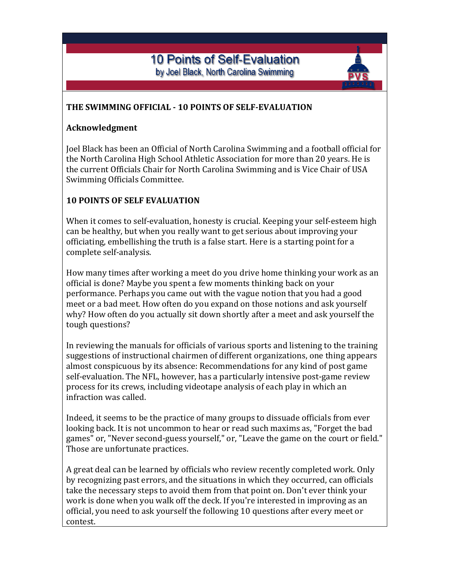# **10 Points of Self-Evaluation** by Joel Black, North Carolina Swimming

### **THE SWIMMING OFFICIAL - 10 POINTS OF SELF-EVALUATION**

#### **Acknowledgment**

Joel Black has been an Official of North Carolina Swimming and a football official for the North Carolina High School Athletic Association for more than 20 years. He is the current Officials Chair for North Carolina Swimming and is Vice Chair of USA Swimming Officials Committee.

#### **10 POINTS OF SELF EVALUATION**

When it comes to self-evaluation, honesty is crucial. Keeping your self-esteem high can be healthy, but when you really want to get serious about improving your officiating, embellishing the truth is a false start. Here is a starting point for a complete self-analysis.

How many times after working a meet do you drive home thinking your work as an official is done? Maybe you spent a few moments thinking back on your performance. Perhaps you came out with the vague notion that you had a good meet or a bad meet. How often do you expand on those notions and ask yourself why? How often do you actually sit down shortly after a meet and ask yourself the tough questions?

In reviewing the manuals for officials of various sports and listening to the training suggestions of instructional chairmen of different organizations, one thing appears almost conspicuous by its absence: Recommendations for any kind of post game self-evaluation. The NFL, however, has a particularly intensive post-game review process for its crews, including videotape analysis of each play in which an infraction was called.

Indeed, it seems to be the practice of many groups to dissuade officials from ever looking back. It is not uncommon to hear or read such maxims as, "Forget the bad games" or, "Never second-guess yourself," or, "Leave the game on the court or field." Those are unfortunate practices.

A great deal can be learned by officials who review recently completed work. Only by recognizing past errors, and the situations in which they occurred, can officials take the necessary steps to avoid them from that point on. Don't ever think your work is done when you walk off the deck. If you're interested in improving as an official, you need to ask yourself the following 10 questions after every meet or contest.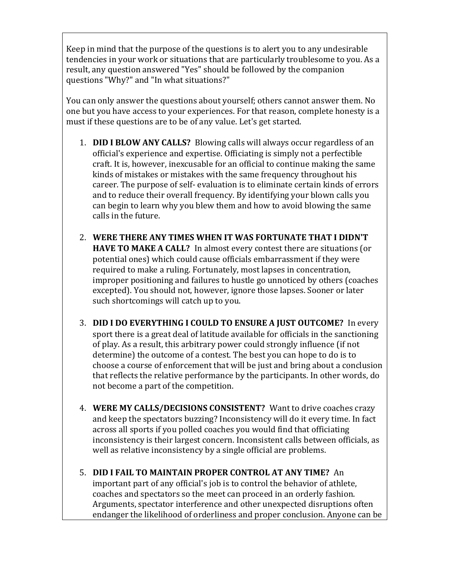Keep in mind that the purpose of the questions is to alert you to any undesirable tendencies in your work or situations that are particularly troublesome to you. As a result, any question answered "Yes" should be followed by the companion questions "Why?" and "In what situations?"

You can only answer the questions about yourself; others cannot answer them. No one but you have access to your experiences. For that reason, complete honesty is a must if these questions are to be of any value. Let's get started.

- 1. **DID I BLOW ANY CALLS?** Blowing calls will always occur regardless of an official's experience and expertise. Officiating is simply not a perfectible craft. It is, however, inexcusable for an official to continue making the same kinds of mistakes or mistakes with the same frequency throughout his career. The purpose of self- evaluation is to eliminate certain kinds of errors and to reduce their overall frequency. By identifying your blown calls you can begin to learn why you blew them and how to avoid blowing the same calls in the future.
- 2. **WERE THERE ANY TIMES WHEN IT WAS FORTUNATE THAT I DIDN'T HAVE TO MAKE A CALL?** In almost every contest there are situations (or potential ones) which could cause officials embarrassment if they were required to make a ruling. Fortunately, most lapses in concentration, improper positioning and failures to hustle go unnoticed by others (coaches excepted). You should not, however, ignore those lapses. Sooner or later such shortcomings will catch up to you.
- 3. **DID I DO EVERYTHING I COULD TO ENSURE A JUST OUTCOME?** In every sport there is a great deal of latitude available for officials in the sanctioning of play. As a result, this arbitrary power could strongly influence (if not determine) the outcome of a contest. The best you can hope to do is to choose a course of enforcement that will be just and bring about a conclusion that reflects the relative performance by the participants. In other words, do not become a part of the competition.
- 4. **WERE MY CALLS/DECISIONS CONSISTENT?** Want to drive coaches crazy and keep the spectators buzzing? Inconsistency will do it every time. In fact across all sports if you polled coaches you would find that officiating inconsistency is their largest concern. Inconsistent calls between officials, as well as relative inconsistency by a single official are problems.
- 5. **DID I FAIL TO MAINTAIN PROPER CONTROL AT ANY TIME?** An important part of any official's job is to control the behavior of athlete, coaches and spectators so the meet can proceed in an orderly fashion. Arguments, spectator interference and other unexpected disruptions often endanger the likelihood of orderliness and proper conclusion. Anyone can be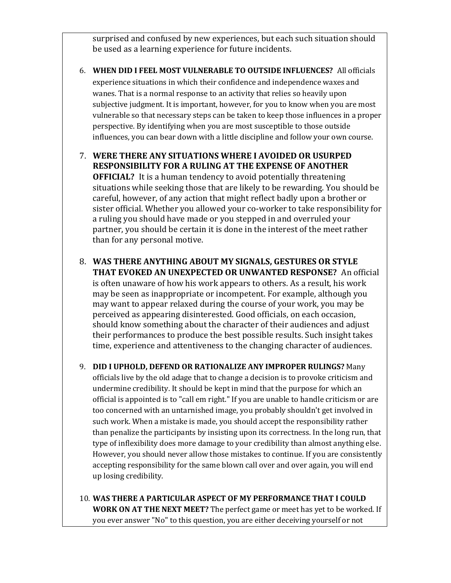surprised and confused by new experiences, but each such situation should be used as a learning experience for future incidents.

- 6. **WHEN DID I FEEL MOST VULNERABLE TO OUTSIDE INFLUENCES?** All officials experience situations in which their confidence and independence waxes and wanes. That is a normal response to an activity that relies so heavily upon subjective judgment. It is important, however, for you to know when you are most vulnerable so that necessary steps can be taken to keep those influences in a proper perspective. By identifying when you are most susceptible to those outside influences, you can bear down with a little discipline and follow your own course.
- 7. **WERE THERE ANY SITUATIONS WHERE I AVOIDED OR USURPED RESPONSIBILITY FOR A RULING AT THE EXPENSE OF ANOTHER OFFICIAL?** It is a human tendency to avoid potentially threatening situations while seeking those that are likely to be rewarding. You should be careful, however, of any action that might reflect badly upon a brother or sister official. Whether you allowed your co-worker to take responsibility for a ruling you should have made or you stepped in and overruled your partner, you should be certain it is done in the interest of the meet rather than for any personal motive.
- 8. **WAS THERE ANYTHING ABOUT MY SIGNALS, GESTURES OR STYLE THAT EVOKED AN UNEXPECTED OR UNWANTED RESPONSE?** An official is often unaware of how his work appears to others. As a result, his work may be seen as inappropriate or incompetent. For example, although you may want to appear relaxed during the course of your work, you may be perceived as appearing disinterested. Good officials, on each occasion, should know something about the character of their audiences and adjust their performances to produce the best possible results. Such insight takes time, experience and attentiveness to the changing character of audiences.
- 9. **DID I UPHOLD, DEFEND OR RATIONALIZE ANY IMPROPER RULINGS?** Many officials live by the old adage that to change a decision is to provoke criticism and undermine credibility. It should be kept in mind that the purpose for which an official is appointed is to "call em right." If you are unable to handle criticism or are too concerned with an untarnished image, you probably shouldn't get involved in such work. When a mistake is made, you should accept the responsibility rather than penalize the participants by insisting upon its correctness. In the long run, that type of inflexibility does more damage to your credibility than almost anything else. However, you should never allow those mistakes to continue. If you are consistently accepting responsibility for the same blown call over and over again, you will end up losing credibility.
- 10. **WAS THERE A PARTICULAR ASPECT OF MY PERFORMANCE THAT I COULD WORK ON AT THE NEXT MEET?** The perfect game or meet has yet to be worked. If you ever answer "No" to this question, you are either deceiving yourself or not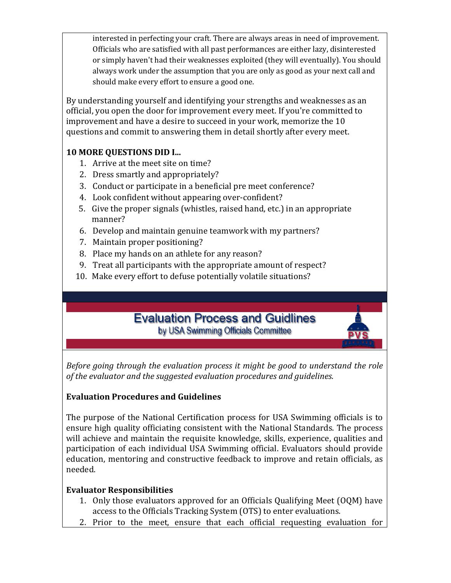interested in perfecting your craft. There are always areas in need of improvement. Officials who are satisfied with all past performances are either lazy, disinterested or simply haven't had their weaknesses exploited (they will eventually). You should always work under the assumption that you are only as good as your next call and should make every effort to ensure a good one.

By understanding yourself and identifying your strengths and weaknesses as an official, you open the door for improvement every meet. If you're committed to improvement and have a desire to succeed in your work, memorize the 10 questions and commit to answering them in detail shortly after every meet.

## **10 MORE QUESTIONS DID I...**

- 1. Arrive at the meet site on time?
- 2. Dress smartly and appropriately?
- 3. Conduct or participate in a beneficial pre meet conference?
- 4. Look confident without appearing over-confident?
- 5. Give the proper signals (whistles, raised hand, etc.) in an appropriate manner?
- 6. Develop and maintain genuine teamwork with my partners?
- 7. Maintain proper positioning?
- 8. Place my hands on an athlete for any reason?
- 9. Treat all participants with the appropriate amount of respect?
- 10. Make every effort to defuse potentially volatile situations?

# **Evaluation Process and Guidlines** by USA Swimming Officials Committee

*Before going through the evaluation process it might be good to understand the role of the evaluator and the suggested evaluation procedures and guidelines.*

## **Evaluation Procedures and Guidelines**

The purpose of the National Certification process for USA Swimming officials is to ensure high quality officiating consistent with the National Standards. The process will achieve and maintain the requisite knowledge, skills, experience, qualities and participation of each individual USA Swimming official. Evaluators should provide education, mentoring and constructive feedback to improve and retain officials, as needed.

## **Evaluator Responsibilities**

- 1. Only those evaluators approved for an Officials Qualifying Meet (OQM) have access to the Officials Tracking System (OTS) to enter evaluations.
- 2. Prior to the meet, ensure that each official requesting evaluation for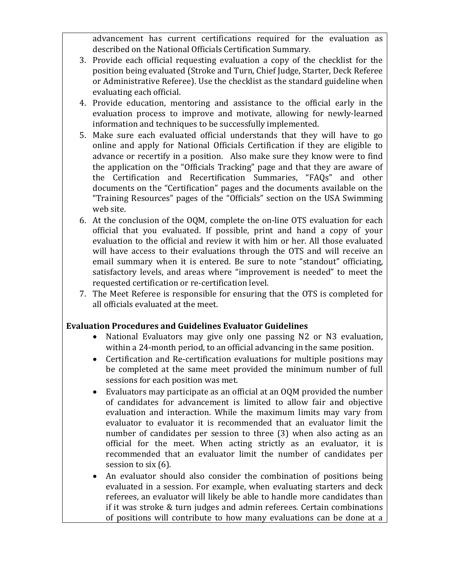advancement has current certifications required for the evaluation as described on the National Officials Certification Summary.

- 3. Provide each official requesting evaluation a copy of the checklist for the position being evaluated (Stroke and Turn, Chief Judge, Starter, Deck Referee or Administrative Referee). Use the checklist as the standard guideline when evaluating each official.
- 4. Provide education, mentoring and assistance to the official early in the evaluation process to improve and motivate, allowing for newly-learned information and techniques to be successfully implemented.
- 5. Make sure each evaluated official understands that they will have to go online and apply for National Officials Certification if they are eligible to advance or recertify in a position. Also make sure they know were to find the application on the "Officials Tracking" page and that they are aware of the Certification and Recertification Summaries, "FAQs" and other documents on the "Certification" pages and the documents available on the "Training Resources" pages of the "Officials" section on the USA Swimming web site.
- 6. At the conclusion of the OQM, complete the on-line OTS evaluation for each official that you evaluated. If possible, print and hand a copy of your evaluation to the official and review it with him or her. All those evaluated will have access to their evaluations through the OTS and will receive an email summary when it is entered. Be sure to note "standout" officiating, satisfactory levels, and areas where "improvement is needed" to meet the requested certification or re-certification level.
- 7. The Meet Referee is responsible for ensuring that the OTS is completed for all officials evaluated at the meet.

#### **Evaluation Procedures and Guidelines Evaluator Guidelines**

- National Evaluators may give only one passing N2 or N3 evaluation, within a 24-month period, to an official advancing in the same position.
- Certification and Re-certification evaluations for multiple positions may be completed at the same meet provided the minimum number of full sessions for each position was met.
- Evaluators may participate as an official at an OQM provided the number of candidates for advancement is limited to allow fair and objective evaluation and interaction. While the maximum limits may vary from evaluator to evaluator it is recommended that an evaluator limit the number of candidates per session to three (3) when also acting as an official for the meet. When acting strictly as an evaluator, it is recommended that an evaluator limit the number of candidates per session to six (6).
- An evaluator should also consider the combination of positions being evaluated in a session. For example, when evaluating starters and deck referees, an evaluator will likely be able to handle more candidates than if it was stroke & turn judges and admin referees. Certain combinations of positions will contribute to how many evaluations can be done at a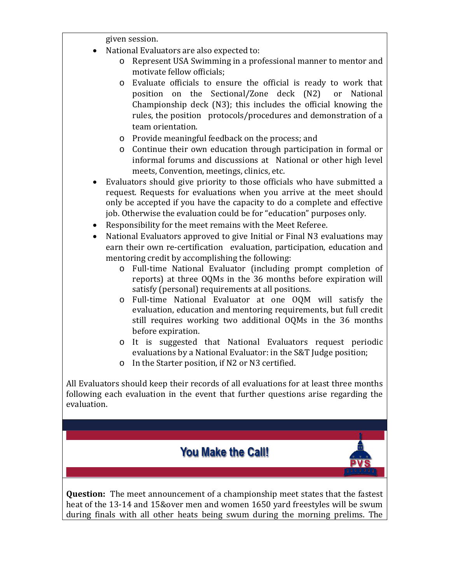given session.

- National Evaluators are also expected to:
	- o Represent USA Swimming in a professional manner to mentor and motivate fellow officials;
	- o Evaluate officials to ensure the official is ready to work that position on the Sectional/Zone deck  $(N2)$ Championship deck (N3); this includes the official knowing the rules, the position protocols/procedures and demonstration of a team orientation.
	- o Provide meaningful feedback on the process; and
	- o Continue their own education through participation in formal or informal forums and discussions at National or other high level meets, Convention, meetings, clinics, etc.
- Evaluators should give priority to those officials who have submitted a request. Requests for evaluations when you arrive at the meet should only be accepted if you have the capacity to do a complete and effective job. Otherwise the evaluation could be for "education" purposes only.
- Responsibility for the meet remains with the Meet Referee.
- National Evaluators approved to give Initial or Final N3 evaluations may earn their own re-certification evaluation, participation, education and mentoring credit by accomplishing the following:
	- o Full-time National Evaluator (including prompt completion of reports) at three OQMs in the 36 months before expiration will satisfy (personal) requirements at all positions.
	- o Full-time National Evaluator at one OQM will satisfy the evaluation, education and mentoring requirements, but full credit still requires working two additional OQMs in the 36 months before expiration.
	- o It is suggested that National Evaluators request periodic evaluations by a National Evaluator: in the S&T Judge position;
	- o In the Starter position, if N2 or N3 certified.

All Evaluators should keep their records of all evaluations for at least three months following each evaluation in the event that further questions arise regarding the evaluation.

# **You Make the Call!**

**Question:** The meet announcement of a championship meet states that the fastest heat of the 13-14 and 15&over men and women 1650 yard freestyles will be swum during finals with all other heats being swum during the morning prelims. The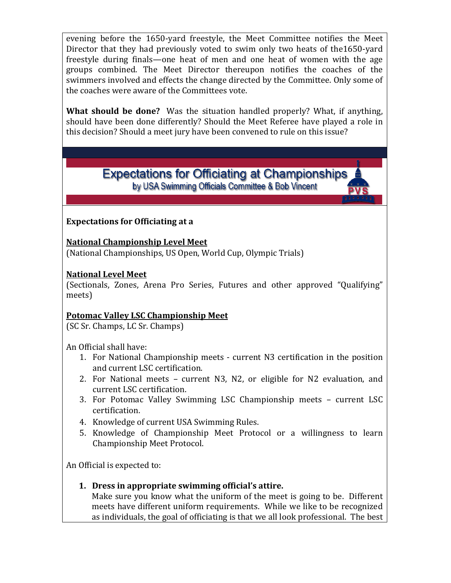evening before the 1650-yard freestyle, the Meet Committee notifies the Meet Director that they had previously voted to swim only two heats of the1650-yard freestyle during finals—one heat of men and one heat of women with the age groups combined. The Meet Director thereupon notifies the coaches of the swimmers involved and effects the change directed by the Committee. Only some of the coaches were aware of the Committees vote.

**What should be done?** Was the situation handled properly? What, if anything, should have been done differently? Should the Meet Referee have played a role in this decision? Should a meet jury have been convened to rule on this issue?

> **Expectations for Officiating at Championships** by USA Swimming Officials Committee & Bob Vincent

#### **Expectations for Officiating at a**

**National Championship Level Meet** (National Championships, US Open, World Cup, Olympic Trials)

#### **National Level Meet**

(Sectionals, Zones, Arena Pro Series, Futures and other approved "Qualifying" meets)

#### **Potomac Valley LSC Championship Meet**

(SC Sr. Champs, LC Sr. Champs)

An Official shall have:

- 1. For National Championship meets current N3 certification in the position and current LSC certification.
- 2. For National meets current N3, N2, or eligible for N2 evaluation, and current LSC certification.
- 3. For Potomac Valley Swimming LSC Championship meets current LSC certification.
- 4. Knowledge of current USA Swimming Rules.
- 5. Knowledge of Championship Meet Protocol or a willingness to learn Championship Meet Protocol.

An Official is expected to:

**1. Dress in appropriate swimming official's attire.**

Make sure you know what the uniform of the meet is going to be. Different meets have different uniform requirements. While we like to be recognized as individuals, the goal of officiating is that we all look professional. The best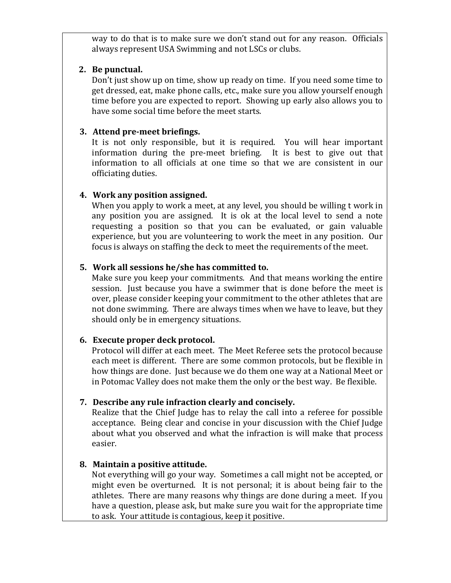way to do that is to make sure we don't stand out for any reason. Officials always represent USA Swimming and not LSCs or clubs.

#### **2. Be punctual.**

Don't just show up on time, show up ready on time. If you need some time to get dressed, eat, make phone calls, etc., make sure you allow yourself enough time before you are expected to report. Showing up early also allows you to have some social time before the meet starts.

#### **3. Attend pre-meet briefings.**

It is not only responsible, but it is required. You will hear important information during the pre-meet briefing. It is best to give out that information to all officials at one time so that we are consistent in our officiating duties.

#### **4. Work any position assigned.**

When you apply to work a meet, at any level, you should be willing t work in any position you are assigned. It is ok at the local level to send a note requesting a position so that you can be evaluated, or gain valuable experience, but you are volunteering to work the meet in any position. Our focus is always on staffing the deck to meet the requirements of the meet.

#### **5. Work all sessions he/she has committed to.**

Make sure you keep your commitments. And that means working the entire session. Just because you have a swimmer that is done before the meet is over, please consider keeping your commitment to the other athletes that are not done swimming. There are always times when we have to leave, but they should only be in emergency situations.

#### **6. Execute proper deck protocol.**

Protocol will differ at each meet. The Meet Referee sets the protocol because each meet is different. There are some common protocols, but be flexible in how things are done. Just because we do them one way at a National Meet or in Potomac Valley does not make them the only or the best way. Be flexible.

#### **7. Describe any rule infraction clearly and concisely.**

Realize that the Chief Judge has to relay the call into a referee for possible acceptance. Being clear and concise in your discussion with the Chief Judge about what you observed and what the infraction is will make that process easier.

#### **8. Maintain a positive attitude.**

Not everything will go your way. Sometimes a call might not be accepted, or might even be overturned. It is not personal; it is about being fair to the athletes. There are many reasons why things are done during a meet. If you have a question, please ask, but make sure you wait for the appropriate time to ask. Your attitude is contagious, keep it positive.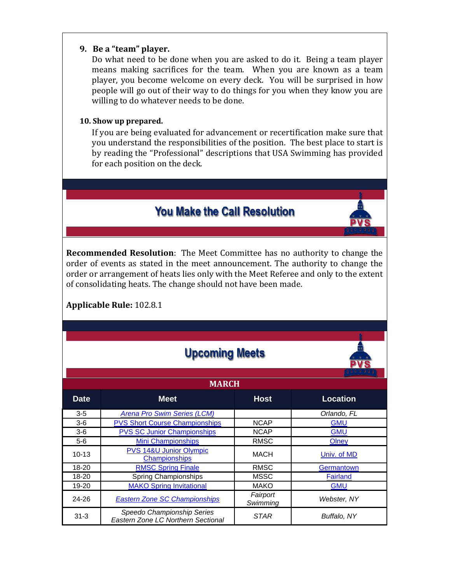#### **9. Be a "team" player.**

Do what need to be done when you are asked to do it. Being a team player means making sacrifices for the team. When you are known as a team player, you become welcome on every deck. You will be surprised in how people will go out of their way to do things for you when they know you are willing to do whatever needs to be done.

#### **10. Show up prepared.**

If you are being evaluated for advancement or recertification make sure that you understand the responsibilities of the position. The best place to start is by reading the "Professional" descriptions that USA Swimming has provided for each position on the deck.

# **You Make the Call Resolution**

**Recommended Resolution**: The Meet Committee has no authority to change the order of events as stated in the meet announcement. The authority to change the order or arrangement of heats lies only with the Meet Referee and only to the extent of consolidating heats. The change should not have been made.

## **Applicable Rule:** 102.8.1

|              | <b>Upcoming Meets</b>                                            |                      |                 |  |
|--------------|------------------------------------------------------------------|----------------------|-----------------|--|
| <b>MARCH</b> |                                                                  |                      |                 |  |
| <b>Date</b>  | <b>Meet</b>                                                      | <b>Host</b>          | <b>Location</b> |  |
| $3 - 5$      | <b>Arena Pro Swim Series (LCM)</b>                               |                      | Orlando, FL     |  |
| $3-6$        | <b>PVS Short Course Championships</b>                            | <b>NCAP</b>          | <b>GMU</b>      |  |
| $3-6$        | <b>PVS SC Junior Championships</b>                               | <b>NCAP</b>          | <b>GMU</b>      |  |
| $5-6$        | <b>Mini Championships</b>                                        | <b>RMSC</b>          | Olney           |  |
| $10 - 13$    | PVS 14&U Junior Olympic<br><b>Championships</b>                  | MACH                 | Univ. of MD     |  |
| $18 - 20$    | <b>RMSC Spring Finale</b>                                        | <b>RMSC</b>          | Germantown      |  |
| 18-20        | Spring Championships                                             | <b>MSSC</b>          | <b>Fairland</b> |  |
| 19-20        | <b>MAKO Spring Invitational</b>                                  | <b>MAKO</b>          | <b>GMU</b>      |  |
| 24-26        | <b>Eastern Zone SC Championships</b>                             | Fairport<br>Swimming | Webster, NY     |  |
| $31 - 3$     | Speedo Championship Series<br>Eastern Zone LC Northern Sectional | <b>STAR</b>          | Buffalo, NY     |  |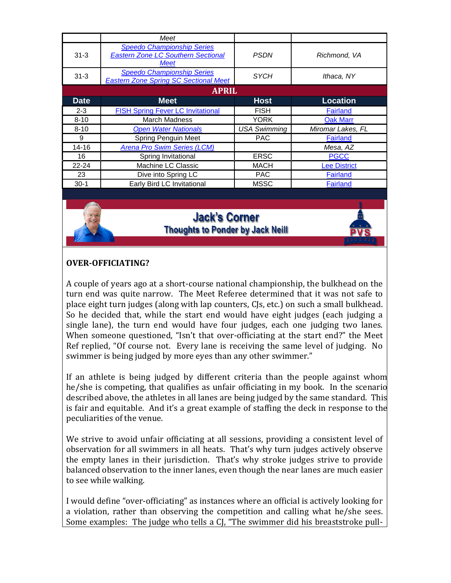|              | Meet                                                                                          |                     |                     |  |
|--------------|-----------------------------------------------------------------------------------------------|---------------------|---------------------|--|
| $31 - 3$     | <b>Speedo Championship Series</b><br><b>Eastern Zone LC Southern Sectional</b><br><b>Meet</b> | <b>PSDN</b>         | Richmond, VA        |  |
| $31 - 3$     | <b>Speedo Championship Series</b><br><b>Eastern Zone Spring SC Sectional Meet</b>             | <b>SYCH</b>         | Ithaca, NY          |  |
| <b>APRIL</b> |                                                                                               |                     |                     |  |
| <b>Date</b>  | <b>Meet</b>                                                                                   | <b>Host</b>         | <b>Location</b>     |  |
| $2 - 3$      | <b>FISH Spring Fever LC Invitational</b>                                                      | <b>FISH</b>         | Fairland            |  |
| $8 - 10$     | <b>March Madness</b>                                                                          | <b>YORK</b>         | <b>Oak Marr</b>     |  |
| $8 - 10$     | <b>Open Water Nationals</b>                                                                   | <b>USA Swimming</b> | Miromar Lakes, FL   |  |
| 9            | <b>Spring Penguin Meet</b>                                                                    | <b>PAC</b>          | <b>Fairland</b>     |  |
| $14 - 16$    | Arena Pro Swim Series (LCM)                                                                   |                     | Mesa, AZ            |  |
| 16           | Spring Invitational                                                                           | <b>ERSC</b>         | <b>PGCC</b>         |  |
| $22 - 24$    | Machine LC Classic                                                                            | <b>MACH</b>         | <b>Lee District</b> |  |
| 23           | Dive into Spring LC                                                                           | <b>PAC</b>          | Fairland            |  |
| $30-1$       | Early Bird LC Invitational                                                                    | <b>MSSC</b>         | <b>Fairland</b>     |  |

# **Jack's Corner Thoughts to Ponder by Jack Neill**

#### **OVER-OFFICIATING?**

A couple of years ago at a short-course national championship, the bulkhead on the turn end was quite narrow. The Meet Referee determined that it was not safe to place eight turn judges (along with lap counters, CJs, etc.) on such a small bulkhead. So he decided that, while the start end would have eight judges (each judging a single lane), the turn end would have four judges, each one judging two lanes. When someone questioned, "Isn't that over-officiating at the start end?" the Meet Ref replied, "Of course not. Every lane is receiving the same level of judging. No swimmer is being judged by more eyes than any other swimmer."

If an athlete is being judged by different criteria than the people against whom he/she is competing, that qualifies as unfair officiating in my book. In the scenarion described above, the athletes in all lanes are being judged by the same standard. This is fair and equitable. And it's a great example of staffing the deck in response to the peculiarities of the venue.

We strive to avoid unfair officiating at all sessions, providing a consistent level of observation for all swimmers in all heats. That's why turn judges actively observe the empty lanes in their jurisdiction. That's why stroke judges strive to provide balanced observation to the inner lanes, even though the near lanes are much easier to see while walking.

I would define "over-officiating" as instances where an official is actively looking for a violation, rather than observing the competition and calling what he/she sees. Some examples: The judge who tells a CJ, "The swimmer did his breaststroke pull